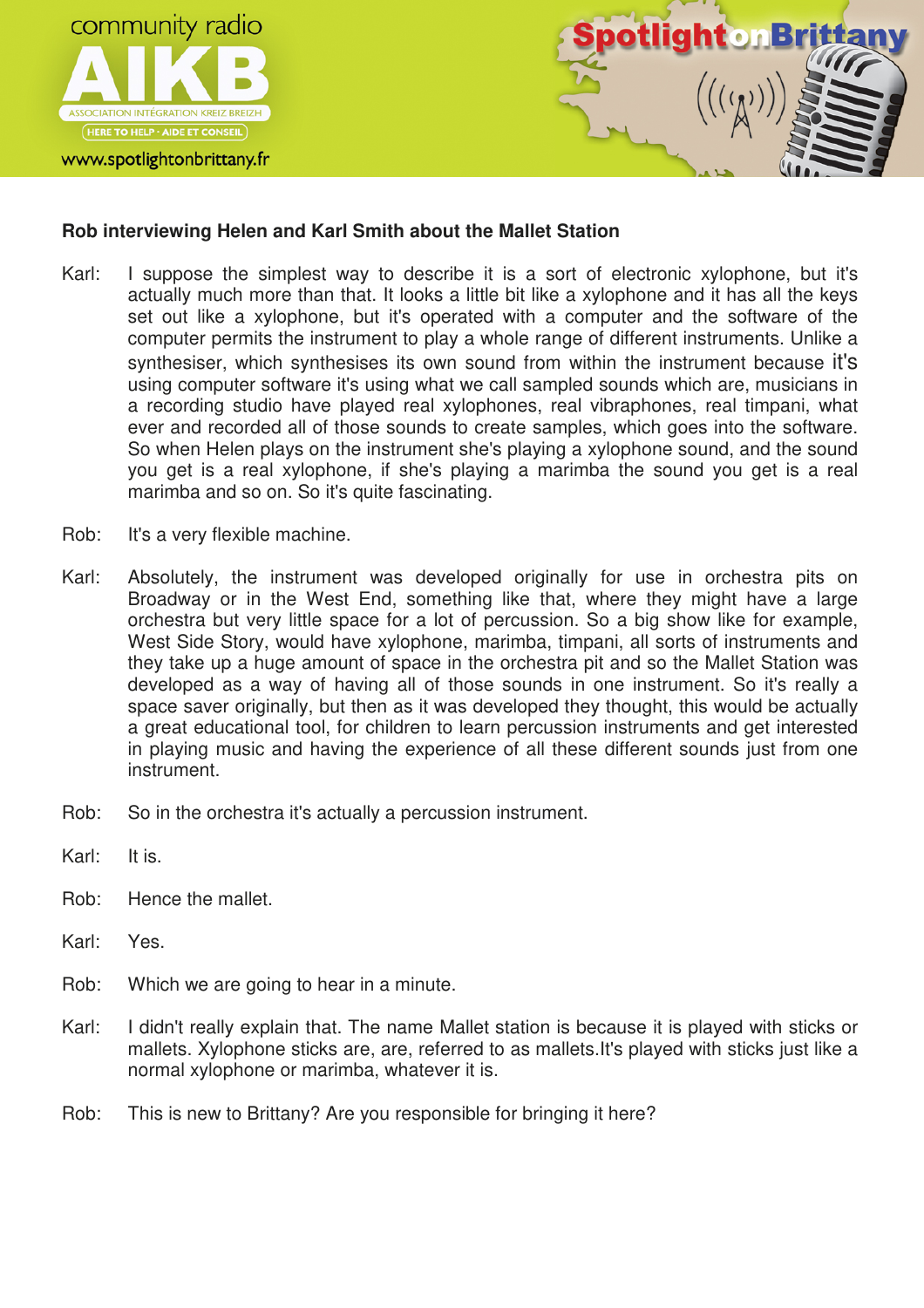

## www.spotlightonbrittany.fr



## **Rob interviewing Helen and Karl Smith about the Mallet Station**

- Karl: I suppose the simplest way to describe it is a sort of electronic xylophone, but it's actually much more than that. It looks a little bit like a xylophone and it has all the keys set out like a xylophone, but it's operated with a computer and the software of the computer permits the instrument to play a whole range of different instruments. Unlike a synthesiser, which synthesises its own sound from within the instrument because it's using computer software it's using what we call sampled sounds which are, musicians in a recording studio have played real xylophones, real vibraphones, real timpani, what ever and recorded all of those sounds to create samples, which goes into the software. So when Helen plays on the instrument she's playing a xylophone sound, and the sound you get is a real xylophone, if she's playing a marimba the sound you get is a real marimba and so on. So it's quite fascinating.
- Rob: It's a very flexible machine.
- Karl: Absolutely, the instrument was developed originally for use in orchestra pits on Broadway or in the West End, something like that, where they might have a large orchestra but very little space for a lot of percussion. So a big show like for example, West Side Story, would have xylophone, marimba, timpani, all sorts of instruments and they take up a huge amount of space in the orchestra pit and so the Mallet Station was developed as a way of having all of those sounds in one instrument. So it's really a space saver originally, but then as it was developed they thought, this would be actually a great educational tool, for children to learn percussion instruments and get interested in playing music and having the experience of all these different sounds just from one instrument.
- Rob: So in the orchestra it's actually a percussion instrument.
- Karl: It is.
- Rob: Hence the mallet.
- Karl: Yes.
- Rob: Which we are going to hear in a minute.
- Karl: I didn't really explain that. The name Mallet station is because it is played with sticks or mallets. Xylophone sticks are, are, referred to as mallets.It's played with sticks just like a normal xylophone or marimba, whatever it is.
- Rob: This is new to Brittany? Are you responsible for bringing it here?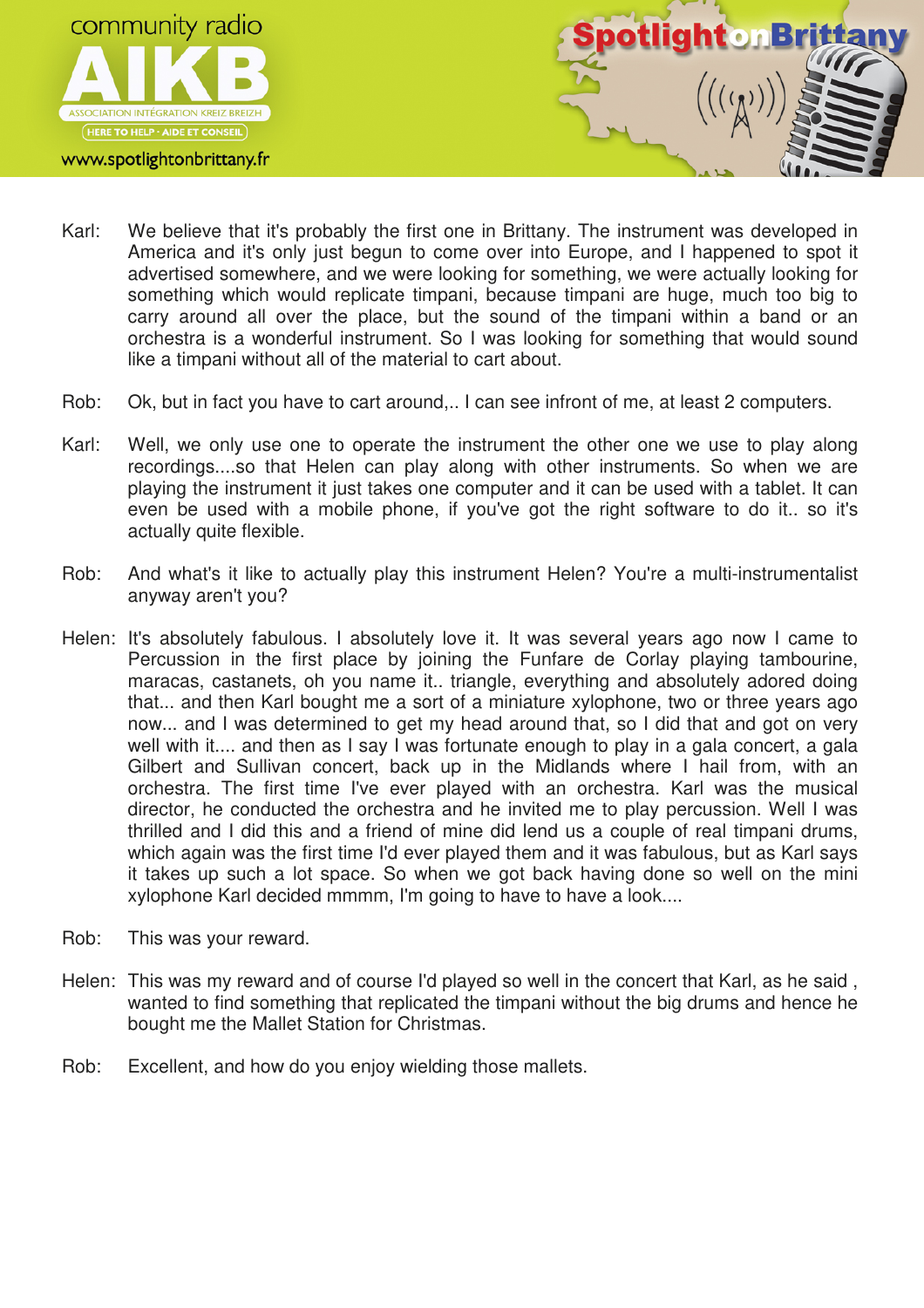

www.spotlightonbrittany.fr



- Karl: We believe that it's probably the first one in Brittany. The instrument was developed in America and it's only just begun to come over into Europe, and I happened to spot it advertised somewhere, and we were looking for something, we were actually looking for something which would replicate timpani, because timpani are huge, much too big to carry around all over the place, but the sound of the timpani within a band or an orchestra is a wonderful instrument. So I was looking for something that would sound like a timpani without all of the material to cart about.
- Rob: Ok, but in fact you have to cart around,.. I can see infront of me, at least 2 computers.
- Karl: Well, we only use one to operate the instrument the other one we use to play along recordings....so that Helen can play along with other instruments. So when we are playing the instrument it just takes one computer and it can be used with a tablet. It can even be used with a mobile phone, if you've got the right software to do it.. so it's actually quite flexible.
- Rob: And what's it like to actually play this instrument Helen? You're a multi-instrumentalist anyway aren't you?
- Helen: It's absolutely fabulous. I absolutely love it. It was several years ago now I came to Percussion in the first place by joining the Funfare de Corlay playing tambourine, maracas, castanets, oh you name it.. triangle, everything and absolutely adored doing that... and then Karl bought me a sort of a miniature xylophone, two or three years ago now... and I was determined to get my head around that, so I did that and got on very well with it.... and then as I say I was fortunate enough to play in a gala concert, a gala Gilbert and Sullivan concert, back up in the Midlands where I hail from, with an orchestra. The first time I've ever played with an orchestra. Karl was the musical director, he conducted the orchestra and he invited me to play percussion. Well I was thrilled and I did this and a friend of mine did lend us a couple of real timpani drums, which again was the first time I'd ever played them and it was fabulous, but as Karl says it takes up such a lot space. So when we got back having done so well on the mini xylophone Karl decided mmmm, I'm going to have to have a look....
- Rob: This was your reward.
- Helen: This was my reward and of course I'd played so well in the concert that Karl, as he said , wanted to find something that replicated the timpani without the big drums and hence he bought me the Mallet Station for Christmas.
- Rob: Excellent, and how do you enjoy wielding those mallets.